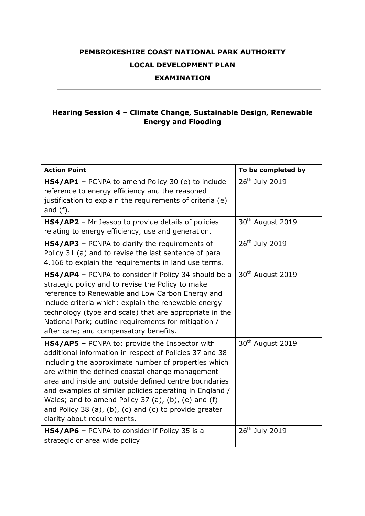## **PEMBROKESHIRE COAST NATIONAL PARK AUTHORITY LOCAL DEVELOPMENT PLAN**

## **EXAMINATION**

## **Hearing Session 4 – Climate Change, Sustainable Design, Renewable Energy and Flooding**

| <b>Action Point</b>                                                                                                                                                                                                                                                                                                                                                                                                                                                                       | To be completed by           |
|-------------------------------------------------------------------------------------------------------------------------------------------------------------------------------------------------------------------------------------------------------------------------------------------------------------------------------------------------------------------------------------------------------------------------------------------------------------------------------------------|------------------------------|
| HS4/AP1 - PCNPA to amend Policy 30 (e) to include<br>reference to energy efficiency and the reasoned<br>justification to explain the requirements of criteria (e)<br>and $(f)$ .                                                                                                                                                                                                                                                                                                          | 26 <sup>th</sup> July 2019   |
| HS4/AP2 - Mr Jessop to provide details of policies<br>relating to energy efficiency, use and generation.                                                                                                                                                                                                                                                                                                                                                                                  | 30 <sup>th</sup> August 2019 |
| HS4/AP3 - PCNPA to clarify the requirements of<br>Policy 31 (a) and to revise the last sentence of para<br>4.166 to explain the requirements in land use terms.                                                                                                                                                                                                                                                                                                                           | 26 <sup>th</sup> July 2019   |
| HS4/AP4 - PCNPA to consider if Policy 34 should be a<br>strategic policy and to revise the Policy to make<br>reference to Renewable and Low Carbon Energy and<br>include criteria which: explain the renewable energy<br>technology (type and scale) that are appropriate in the<br>National Park; outline requirements for mitigation /<br>after care; and compensatory benefits.                                                                                                        | 30 <sup>th</sup> August 2019 |
| HS4/AP5 - PCNPA to: provide the Inspector with<br>additional information in respect of Policies 37 and 38<br>including the approximate number of properties which<br>are within the defined coastal change management<br>area and inside and outside defined centre boundaries<br>and examples of similar policies operating in England /<br>Wales; and to amend Policy 37 (a), (b), (e) and (f)<br>and Policy 38 (a), (b), (c) and (c) to provide greater<br>clarity about requirements. | 30 <sup>th</sup> August 2019 |
| HS4/AP6 - PCNPA to consider if Policy 35 is a<br>strategic or area wide policy                                                                                                                                                                                                                                                                                                                                                                                                            | 26 <sup>th</sup> July 2019   |